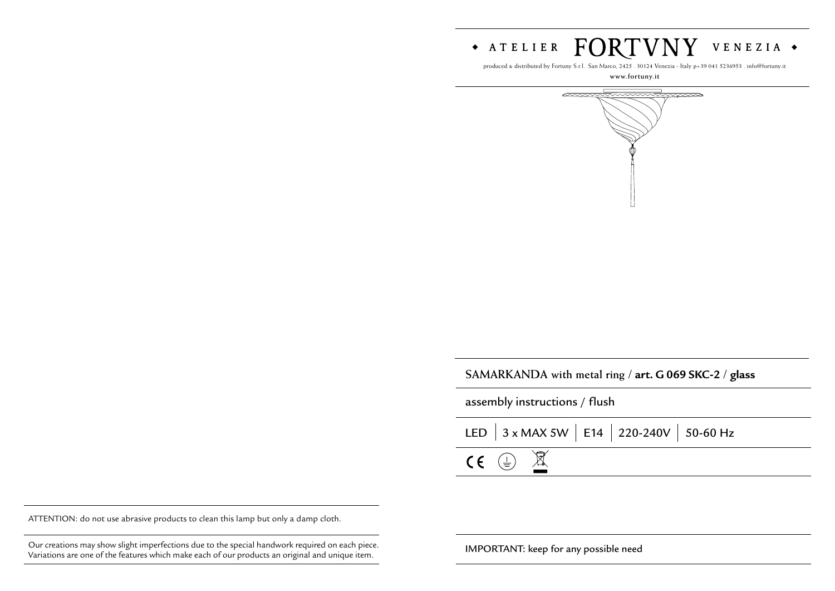

produced & distributed by Fortuny S.r.l. San Marco, 2425 . 30124 Venezia - Italy p+39 041 5236953 . info@fortuny.it

**www.fortuny.it**



| SAMARKANDA with metal ring / art. G 069 SKC-2 / glass |  |  |
|-------------------------------------------------------|--|--|
|-------------------------------------------------------|--|--|

assembly instructions / flush

|                                    |  | LED $\Big $ 3 x MAX 5W $\Big $ E14 $\Big $ 220-240V $\Big $ 50-60 Hz |  |
|------------------------------------|--|----------------------------------------------------------------------|--|
| $CE \oplus \underline{\mathbb{Z}}$ |  |                                                                      |  |

ATTENTION: do not use abrasive products to clean this lamp but only a damp cloth.

Our creations may show slight imperfections due to the special handwork required on each piece. **IMPORTANT:** keep for any possible need Variations are one of the features which make each of our products an original and unique item.